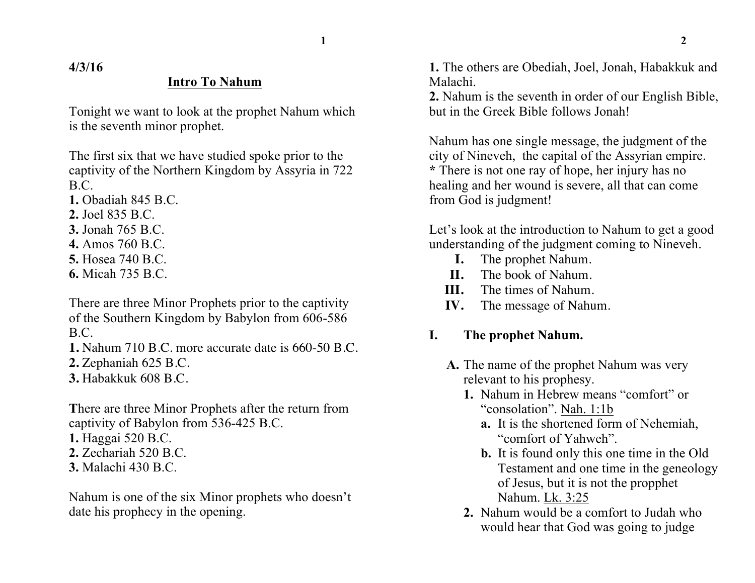**4/3/16**

### **Intro To Nahum**

Tonight we want to look at the prophet Nahum which is the seventh minor prophet.

The first six that we have studied spoke prior to the captivity of the Northern Kingdom by Assyria in 722 B.C.

- **1.** Obadiah 845 B.C.
- **2.** Joel 835 B.C.
- **3.** Jonah 765 B.C.
- **4.** Amos 760 B.C.
- **5.** Hosea 740 B.C.
- **6.** Micah 735 B.C.

There are three Minor Prophets prior to the captivity of the Southern Kingdom by Babylon from 606-586 B.C.

- **1.** Nahum 710 B.C. more accurate date is 660-50 B.C.
- **2.** Zephaniah 625 B.C.
- **3.** Habakkuk 608 B.C.

**T**here are three Minor Prophets after the return from captivity of Babylon from 536-425 B.C.

- **1.** Haggai 520 B.C.
- **2.** Zechariah 520 B.C.
- **3.** Malachi 430 B.C.

Nahum is one of the six Minor prophets who doesn't date his prophecy in the opening.

**1.** The others are Obediah, Joel, Jonah, Habakkuk and Malachi.

**2.** Nahum is the seventh in order of our English Bible, but in the Greek Bible follows Jonah!

Nahum has one single message, the judgment of the city of Nineveh, the capital of the Assyrian empire. **\*** There is not one ray of hope, her injury has no healing and her wound is severe, all that can come from God is judgment!

Let's look at the introduction to Nahum to get a good understanding of the judgment coming to Nineveh.

- **I.** The prophet Nahum.
- **II.** The book of Nahum.
- **III.** The times of Nahum.
- **IV.** The message of Nahum.

### **I. The prophet Nahum.**

- **A.** The name of the prophet Nahum was very relevant to his prophesy.
	- **1.** Nahum in Hebrew means "comfort" or "consolation". Nah. 1:1b
		- **a.** It is the shortened form of Nehemiah, "comfort of Yahweh".
		- **b.** It is found only this one time in the Old Testament and one time in the geneology of Jesus, but it is not the propphet Nahum. Lk. 3:25
	- **2.** Nahum would be a comfort to Judah who would hear that God was going to judge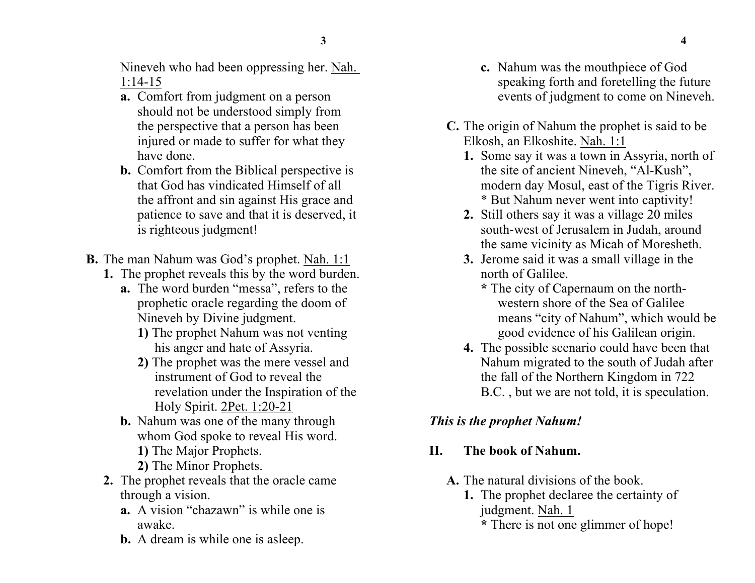Nineveh who had been oppressing her. Nah. 1:14-15

- **a.** Comfort from judgment on a person should not be understood simply from the perspective that a person has been injured or made to suffer for what they have done.
- **b.** Comfort from the Biblical perspective is that God has vindicated Himself of all the affront and sin against His grace and patience to save and that it is deserved, it is righteous judgment!
- **B.** The man Nahum was God's prophet. Nah. 1:1
	- **1.** The prophet reveals this by the word burden.
		- **a.** The word burden "messa", refers to the prophetic oracle regarding the doom of Nineveh by Divine judgment.
			- **1)** The prophet Nahum was not venting his anger and hate of Assyria.
			- **2)** The prophet was the mere vessel and instrument of God to reveal the revelation under the Inspiration of the Holy Spirit. 2Pet. 1:20-21
		- **b.** Nahum was one of the many through whom God spoke to reveal His word.
			- **1)** The Major Prophets.
			- **2)** The Minor Prophets.
	- **2.** The prophet reveals that the oracle came through a vision.
		- **a.** A vision "chazawn" is while one is awake.
		- **b.** A dream is while one is asleep.
- **c.** Nahum was the mouthpiece of God speaking forth and foretelling the future events of judgment to come on Nineveh.
- **C.** The origin of Nahum the prophet is said to be Elkosh, an Elkoshite. Nah. 1:1
	- **1.** Some say it was a town in Assyria, north of the site of ancient Nineveh, "Al-Kush", modern day Mosul, east of the Tigris River. \* But Nahum never went into captivity!
	- **2.** Still others say it was a village 20 miles south-west of Jerusalem in Judah, around the same vicinity as Micah of Moresheth.
	- **3.** Jerome said it was a small village in the north of Galilee.
		- **\*** The city of Capernaum on the northwestern shore of the Sea of Galilee means "city of Nahum", which would be good evidence of his Galilean origin.
	- **4.** The possible scenario could have been that Nahum migrated to the south of Judah after the fall of the Northern Kingdom in 722 B.C. , but we are not told, it is speculation.

## *This is the prophet Nahum!*

## **II. The book of Nahum.**

- **A.** The natural divisions of the book.
	- **1.** The prophet declaree the certainty of judgment. Nah. 1
		- **\*** There is not one glimmer of hope!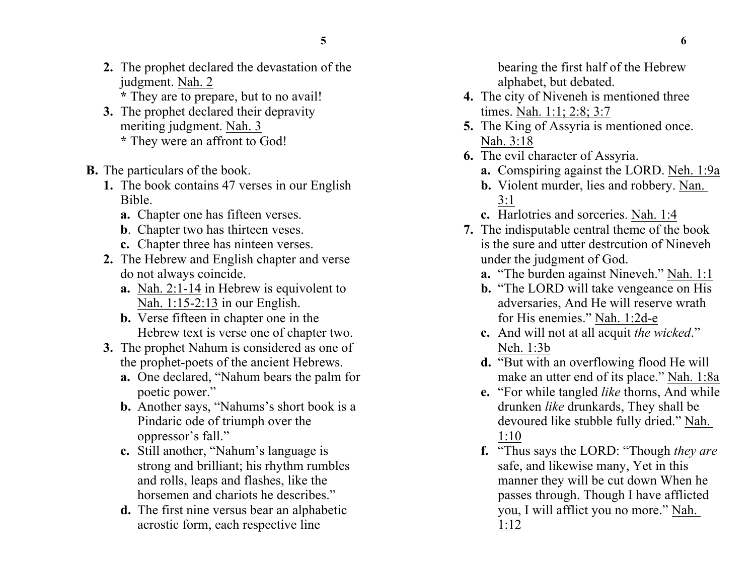- **2.** The prophet declared the devastation of the judgment. Nah. 2 **\*** They are to prepare, but to no avail!
- **3.** The prophet declared their depravity meriting judgment. Nah. 3 **\*** They were an affront to God!
- **B.** The particulars of the book.
	- **1.** The book contains 47 verses in our English Bible.
		- **a.** Chapter one has fifteen verses.
		- **b**. Chapter two has thirteen veses.
		- **c.** Chapter three has ninteen verses.
	- **2.** The Hebrew and English chapter and verse do not always coincide.
		- **a.** Nah. 2:1-14 in Hebrew is equivolent to Nah. 1:15-2:13 in our English.
		- **b.** Verse fifteen in chapter one in the Hebrew text is verse one of chapter two.
	- **3.** The prophet Nahum is considered as one of the prophet-poets of the ancient Hebrews.
		- **a.** One declared, "Nahum bears the palm for poetic power."
		- **b.** Another says, "Nahums's short book is a Pindaric ode of triumph over the oppressor's fall."
		- **c.** Still another, "Nahum's language is strong and brilliant; his rhythm rumbles and rolls, leaps and flashes, like the horsemen and chariots he describes."
		- **d.** The first nine versus bear an alphabetic acrostic form, each respective line

bearing the first half of the Hebrew alphabet, but debated.

- **4.** The city of Niveneh is mentioned three times. Nah. 1:1; 2:8; 3:7
- **5.** The King of Assyria is mentioned once. Nah. 3:18
- **6.** The evil character of Assyria.
	- **a.** Comspiring against the LORD. Neh. 1:9a
	- **b.** Violent murder, lies and robbery. Nan. 3:1
	- **c.** Harlotries and sorceries. Nah. 1:4
- **7.** The indisputable central theme of the book is the sure and utter destrcution of Nineveh under the judgment of God.
	- **a.** "The burden against Nineveh." Nah. 1:1
	- **b.** "The LORD will take vengeance on His adversaries, And He will reserve wrath for His enemies." Nah. 1:2d-e
	- **c.** And will not at all acquit *the wicked*." Neh. 1:3b
	- **d.** "But with an overflowing flood He will make an utter end of its place." Nah. 1:8a
	- **e.** "For while tangled *like* thorns, And while drunken *like* drunkards, They shall be devoured like stubble fully dried." Nah. 1:10
	- **f.** "Thus says the LORD: "Though *they are* safe, and likewise many, Yet in this manner they will be cut down When he passes through. Though I have afflicted you, I will afflict you no more." Nah. 1:12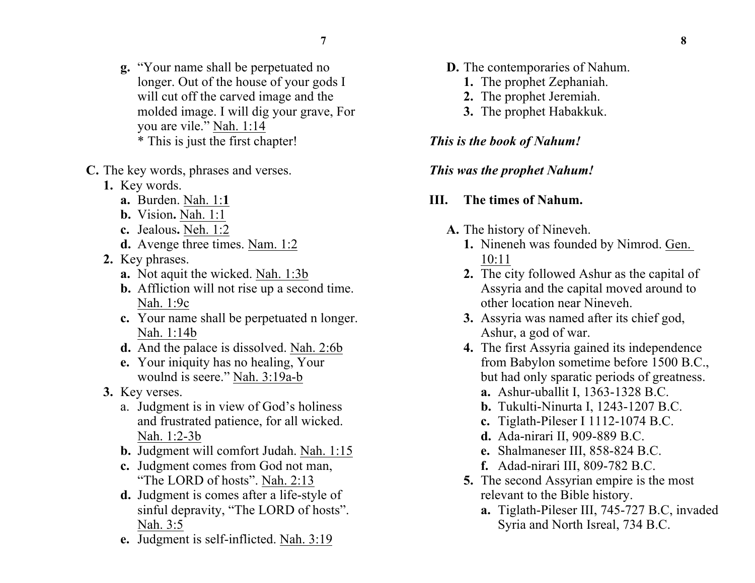- **g.** "Your name shall be perpetuated no longer. Out of the house of your gods I will cut off the carved image and the molded image. I will dig your grave, For you are vile." Nah. 1:14 \* This is just the first chapter!
- **C.** The key words, phrases and verses.
	- **1.** Key words.
		- **a.** Burden. Nah. 1:**1**
		- **b.** Vision**.** Nah. 1:1
		- **c.** Jealous**.** Neh. 1:2
		- **d.** Avenge three times. Nam. 1:2
	- **2.** Key phrases.
		- **a.** Not aquit the wicked. Nah. 1:3b
		- **b.** Affliction will not rise up a second time. Nah. 1:9c
		- **c.** Your name shall be perpetuated n longer. Nah. 1:14b
		- **d.** And the palace is dissolved. Nah. 2:6b
		- **e.** Your iniquity has no healing, Your woulnd is seere." Nah. 3:19a-b
	- **3.** Key verses.
		- a. Judgment is in view of God's holiness and frustrated patience, for all wicked. Nah. 1:2-3b
		- **b.** Judgment will comfort Judah. Nah. 1:15
		- **c.** Judgment comes from God not man, "The LORD of hosts". Nah. 2:13
		- **d.** Judgment is comes after a life-style of sinful depravity, "The LORD of hosts". Nah. 3:5
		- **e.** Judgment is self-inflicted. Nah. 3:19
- **D.** The contemporaries of Nahum.
	- **1.** The prophet Zephaniah.
	- **2.** The prophet Jeremiah.
	- **3.** The prophet Habakkuk.

#### *This is the book of Nahum!*

#### *This was the prophet Nahum!*

### **III. The times of Nahum.**

- **A.** The history of Nineveh.
	- **1.** Nineneh was founded by Nimrod. Gen. 10:11
	- **2.** The city followed Ashur as the capital of Assyria and the capital moved around to other location near Nineveh.
	- **3.** Assyria was named after its chief god, Ashur, a god of war.
	- **4.** The first Assyria gained its independence from Babylon sometime before 1500 B.C., but had only sparatic periods of greatness.
		- **a.** Ashur-uballit I, 1363-1328 B.C.
		- **b.** Tukulti-Ninurta I, 1243-1207 B.C.
		- **c.** Tiglath-Pileser I 1112-1074 B.C.
		- **d.** Ada-nirari II, 909-889 B.C.
		- **e.** Shalmaneser III, 858-824 B.C.
		- **f.** Adad-nirari III, 809-782 B.C.
	- **5.** The second Assyrian empire is the most relevant to the Bible history.
		- **a.** Tiglath-Pileser III, 745-727 B.C, invaded Syria and North Isreal, 734 B.C.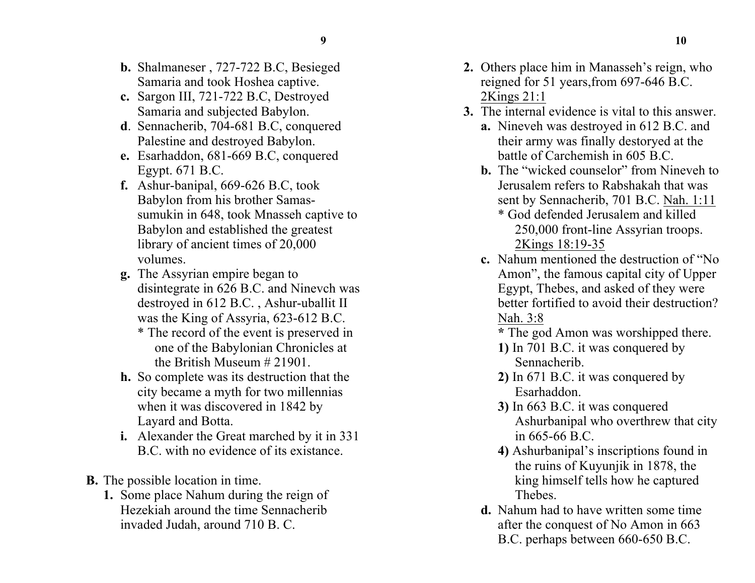- **b.** Shalmaneser , 727-722 B.C, Besieged Samaria and took Hoshea captive.
- **c.** Sargon III, 721-722 B.C, Destroyed Samaria and subjected Babylon.
- **d**. Sennacherib, 704-681 B.C, conquered Palestine and destroyed Babylon.
- **e.** Esarhaddon, 681-669 B.C, conquered Egypt. 671 B.C.
- **f.** Ashur-banipal, 669-626 B.C, took Babylon from his brother Samassumukin in 648, took Mnasseh captive to Babylon and established the greatest library of ancient times of 20,000 volumes.
- **g.** The Assyrian empire began to disintegrate in 626 B.C. and Ninevch was destroyed in 612 B.C. , Ashur-uballit II was the King of Assyria, 623-612 B.C.
	- \* The record of the event is preserved in one of the Babylonian Chronicles at the British Museum # 21901.
- **h.** So complete was its destruction that the city became a myth for two millennias when it was discovered in 1842 by Layard and Botta.
- **i.** Alexander the Great marched by it in 331 B.C. with no evidence of its existance.
- **B.** The possible location in time.
	- **1.** Some place Nahum during the reign of Hezekiah around the time Sennacherib invaded Judah, around 710 B. C.
- **2.** Others place him in Manasseh's reign, who reigned for 51 years,from 697-646 B.C. 2Kings 21:1
- **3.** The internal evidence is vital to this answer.
	- **a.** Nineveh was destroyed in 612 B.C. and their army was finally destoryed at the battle of Carchemish in 605 B.C.
	- **b.** The "wicked counselor" from Nineveh to Jerusalem refers to Rabshakah that was sent by Sennacherib, 701 B.C. Nah. 1:11
		- \* God defended Jerusalem and killed 250,000 front-line Assyrian troops. 2Kings 18:19-35
	- **c.** Nahum mentioned the destruction of "No Amon", the famous capital city of Upper Egypt, Thebes, and asked of they were better fortified to avoid their destruction? Nah. 3:8
		- **\*** The god Amon was worshipped there.
		- **1)** In 701 B.C. it was conquered by Sennacherib.
		- **2)** In 671 B.C. it was conquered by Esarhaddon.
		- **3)** In 663 B.C. it was conquered Ashurbanipal who overthrew that city in 665-66 B.C.
		- **4)** Ashurbanipal's inscriptions found in the ruins of Kuyunjik in 1878, the king himself tells how he captured Thebes.
	- **d.** Nahum had to have written some time after the conquest of No Amon in 663 B.C. perhaps between 660-650 B.C.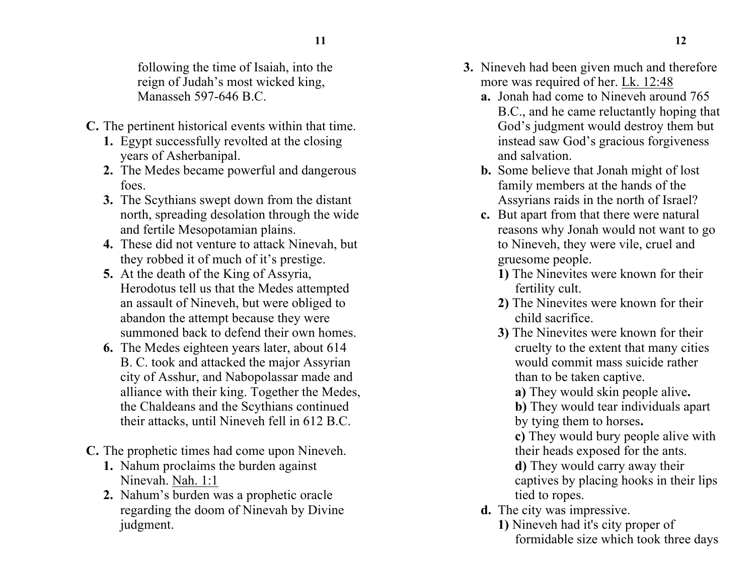following the time of Isaiah, into the reign of Judah's most wicked king, Manasseh 597-646 B.C.

- **C.** The pertinent historical events within that time.
	- **1.** Egypt successfully revolted at the closing years of Asherbanipal.
	- **2.** The Medes became powerful and dangerous foes.
	- **3.** The Scythians swept down from the distant north, spreading desolation through the wide and fertile Mesopotamian plains.
	- **4.** These did not venture to attack Ninevah, but they robbed it of much of it's prestige.
	- **5.** At the death of the King of Assyria, Herodotus tell us that the Medes attempted an assault of Nineveh, but were obliged to abandon the attempt because they were summoned back to defend their own homes.
	- **6.** The Medes eighteen years later, about 614 B. C. took and attacked the major Assyrian city of Asshur, and Nabopolassar made and alliance with their king. Together the Medes, the Chaldeans and the Scythians continued their attacks, until Nineveh fell in 612 B.C.
- **C.** The prophetic times had come upon Nineveh.
	- **1.** Nahum proclaims the burden against Ninevah. Nah. 1:1
	- **2.** Nahum's burden was a prophetic oracle regarding the doom of Ninevah by Divine judgment.
- **3.** Nineveh had been given much and therefore more was required of her. Lk. 12:48
	- **a.** Jonah had come to Nineveh around 765 B.C., and he came reluctantly hoping that God's judgment would destroy them but instead saw God's gracious forgiveness and salvation.
	- **b.** Some believe that Jonah might of lost family members at the hands of the Assyrians raids in the north of Israel?
	- **c.** But apart from that there were natural reasons why Jonah would not want to go to Nineveh, they were vile, cruel and gruesome people.
		- **1)** The Ninevites were known for their fertility cult.
		- **2)** The Ninevites were known for their child sacrifice.
		- **3)** The Ninevites were known for their cruelty to the extent that many cities would commit mass suicide rather than to be taken captive.

**a)** They would skin people alive**.**

**b)** They would tear individuals apart by tying them to horses**.**

**c)** They would bury people alive with their heads exposed for the ants.

**d)** They would carry away their captives by placing hooks in their lips tied to ropes.

- **d.** The city was impressive.
	- **1)** Nineveh had it's city proper of formidable size which took three days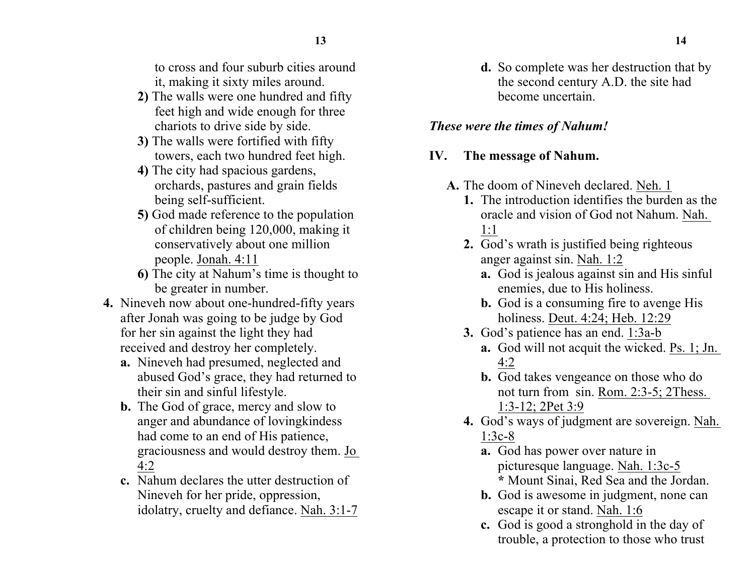to cross and four suburb cities around it, making it sixty miles around.

- **2)** The walls were one hundred and fifty feet high and wide enough for three chariots to drive side by side.
- **3)** The walls were fortified with fifty towers, each two hundred feet high.
- **4)** The city had spacious gardens, orchards, pastures and grain fields being self-sufficient.
- **5)** God made reference to the population of children being 120,000, making it conservatively about one million people. Jonah. 4:11
- **6)** The city at Nahum's time is thought to be greater in number.
- **4.** Nineveh now about one-hundred-fifty years after Jonah was going to be judge by God for her sin against the light they had received and destroy her completely.
	- **a.** Nineveh had presumed, neglected and abused God's grace, they had returned to their sin and sinful lifestyle.
	- **b.** The God of grace, mercy and slow to anger and abundance of lovingkindess had come to an end of His patience, graciousness and would destroy them. Jo 4:2
	- **c.** Nahum declares the utter destruction of Nineveh for her pride, oppression, idolatry, cruelty and defiance. Nah. 3:1-7

**d.** So complete was her destruction that by the second century A.D. the site had become uncertain.

### *These were the times of Nahum!*

# **IV. The message of Nahum.**

- **A.** The doom of Nineveh declared. Neh. 1
	- **1.** The introduction identifies the burden as the oracle and vision of God not Nahum. Nah. 1:1
	- **2.** God's wrath is justified being righteous anger against sin. Nah. 1:2
		- **a.** God is jealous against sin and His sinful enemies, due to His holiness.
		- **b.** God is a consuming fire to avenge His holiness. Deut. 4:24; Heb. 12:29
	- **3.** God's patience has an end. 1:3a-b
		- **a.** God will not acquit the wicked. Ps. 1; Jn. 4:2
		- **b.** God takes vengeance on those who do not turn from sin. Rom. 2:3-5; 2Thess. 1:3-12; 2Pet 3:9
	- **4.** God's ways of judgment are sovereign. Nah. 1:3c-8
		- **a.** God has power over nature in picturesque language. Nah. 1:3c-5 **\*** Mount Sinai, Red Sea and the Jordan.
		- **b.** God is awesome in judgment, none can escape it or stand. Nah. 1:6
		- **c.** God is good a stronghold in the day of trouble, a protection to those who trust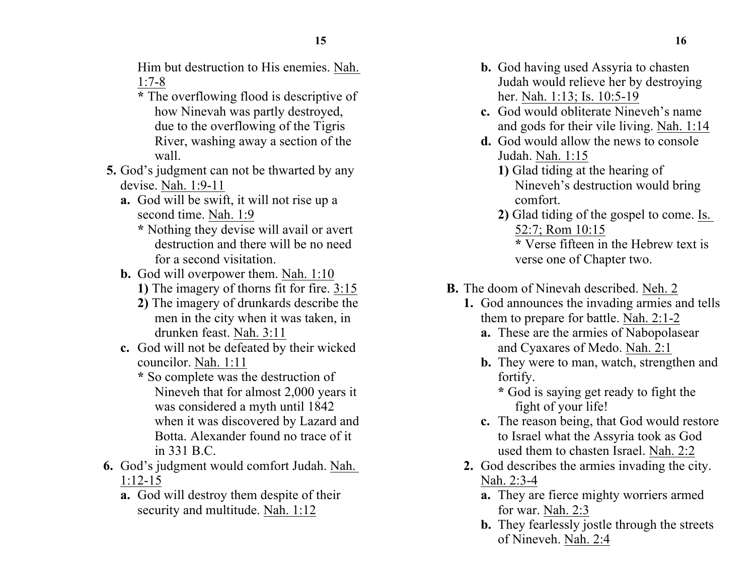Him but destruction to His enemies. Nah. 1:7-8

- **\*** The overflowing flood is descriptive of how Ninevah was partly destroyed, due to the overflowing of the Tigris River, washing away a section of the wall.
- **5.** God's judgment can not be thwarted by any devise. Nah. 1:9-11
	- **a.** God will be swift, it will not rise up a second time. Nah. 1:9
		- **\*** Nothing they devise will avail or avert destruction and there will be no need for a second visitation.
	- **b.** God will overpower them. Nah. 1:10
		- **1)** The imagery of thorns fit for fire. 3:15
		- **2)** The imagery of drunkards describe the men in the city when it was taken, in drunken feast. Nah. 3:11
	- **c.** God will not be defeated by their wicked councilor. Nah. 1:11
		- **\*** So complete was the destruction of Nineveh that for almost 2,000 years it was considered a myth until 1842 when it was discovered by Lazard and Botta. Alexander found no trace of it in 331 B.C.
- **6.** God's judgment would comfort Judah. Nah. 1:12-15
	- **a.** God will destroy them despite of their security and multitude. Nah. 1:12
- **b.** God having used Assyria to chasten Judah would relieve her by destroying her. Nah. 1:13; Is. 10:5-19
- **c.** God would obliterate Nineveh's name and gods for their vile living. Nah. 1:14
- **d.** God would allow the news to console Judah. Nah. 1:15
	- **1)** Glad tiding at the hearing of Nineveh's destruction would bring comfort.
	- **2)** Glad tiding of the gospel to come. Is. 52:7; Rom 10:15

**\*** Verse fifteen in the Hebrew text is verse one of Chapter two.

- **B.** The doom of Ninevah described. Neh. 2
	- **1.** God announces the invading armies and tells them to prepare for battle. Nah. 2:1-2
		- **a.** These are the armies of Nabopolasear and Cyaxares of Medo. Nah. 2:1
		- **b.** They were to man, watch, strengthen and fortify.
			- **\*** God is saying get ready to fight the fight of your life!
		- **c.** The reason being, that God would restore to Israel what the Assyria took as God used them to chasten Israel. Nah. 2:2
	- **2.** God describes the armies invading the city. Nah. 2:3-4
		- **a.** They are fierce mighty worriers armed for war. Nah. 2:3
		- **b.** They fearlessly jostle through the streets of Nineveh. Nah. 2:4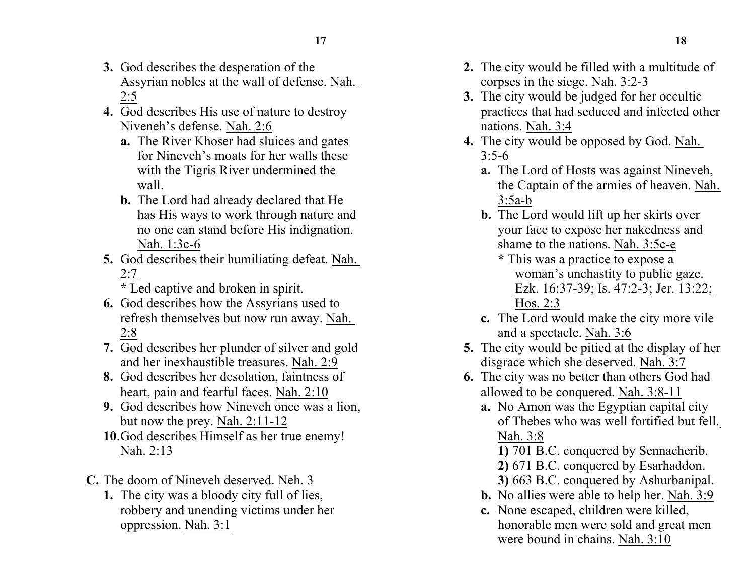- **3.** God describes the desperation of the Assyrian nobles at the wall of defense. Nah. 2:5
- **4.** God describes His use of nature to destroy Niveneh's defense. Nah. 2:6
	- **a.** The River Khoser had sluices and gates for Nineveh's moats for her walls these with the Tigris River undermined the wall.
	- **b.** The Lord had already declared that He has His ways to work through nature and no one can stand before His indignation. Nah. 1:3c-6
- **5.** God describes their humiliating defeat. Nah. 2:7
	- **\*** Led captive and broken in spirit.
- **6.** God describes how the Assyrians used to refresh themselves but now run away. Nah. 2:8
- **7.** God describes her plunder of silver and gold and her inexhaustible treasures. Nah. 2:9
- **8.** God describes her desolation, faintness of heart, pain and fearful faces. Nah. 2:10
- **9.** God describes how Nineveh once was a lion, but now the prey. Nah. 2:11-12
- **10**.God describes Himself as her true enemy! Nah. 2:13
- **C.** The doom of Nineveh deserved. Neh. 3
	- **1.** The city was a bloody city full of lies, robbery and unending victims under her oppression. Nah. 3:1
- **2.** The city would be filled with a multitude of corpses in the siege. Nah. 3:2-3
- **3.** The city would be judged for her occultic practices that had seduced and infected other nations. Nah. 3:4
- **4.** The city would be opposed by God. Nah. 3:5-6
	- **a.** The Lord of Hosts was against Nineveh, the Captain of the armies of heaven. Nah. 3:5a-b
	- **b.** The Lord would lift up her skirts over your face to expose her nakedness and shame to the nations. Nah. 3:5c-e
		- **\*** This was a practice to expose a woman's unchastity to public gaze. Ezk. 16:37-39; Is. 47:2-3; Jer. 13:22; Hos. 2:3
	- **c.** The Lord would make the city more vile and a spectacle. Nah. 3:6
- **5.** The city would be pitied at the display of her disgrace which she deserved. Nah. 3:7
- **6.** The city was no better than others God had allowed to be conquered. Nah. 3:8-11
	- **a.** No Amon was the Egyptian capital city of Thebes who was well fortified but fell. Nah. 3:8
		- **1)** 701 B.C. conquered by Sennacherib.
		- **2)** 671 B.C. conquered by Esarhaddon.
		- **3)** 663 B.C. conquered by Ashurbanipal.
	- **b.** No allies were able to help her. Nah. 3:9
	- **c.** None escaped, children were killed, honorable men were sold and great men were bound in chains. Nah. 3:10